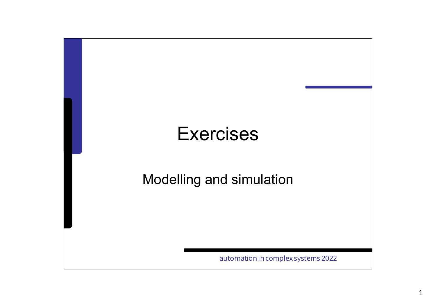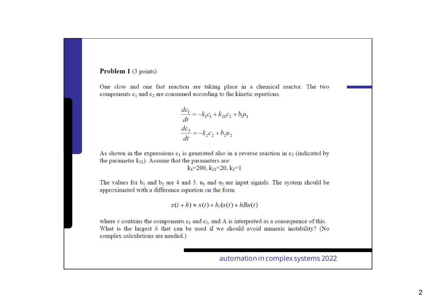#### Problem 1 (3 points)

One slow and one fast reaction are taking place in a chemical reactor. The two components  $c_1$  and  $c_2$  are consumed according to the kinetic equations.

$$
\frac{dc_1}{dt} = -k_1c_1 + k_{21}c_2 + b_1u_1
$$

$$
\frac{dc_2}{dt} = -k_2c_2 + b_2u_2
$$

As shown in the expressions  $c_1$  is generated also in a reverse reaction in  $c_2$  (indicated by the parameter  $k_{21}$ ). Assume that the parameters are:

 $k_1$ =200,  $k_2$ =20,  $k_2$ =1

The values for  $b_1$  and  $b_2$  are 4 and 3.  $u_1$  and  $u_2$  are input signals. The system should be approximated with a difference equation on the form

$$
x(t+h) \approx x(t) + hAx(t) + hBu(t)
$$

where x contains the components  $c_1$  and  $c_2$ , and A is interpreted as a consequence of this. What is the largest  $h$  that can be used if we should avoid numeric instability? (No complex calculations are needed.)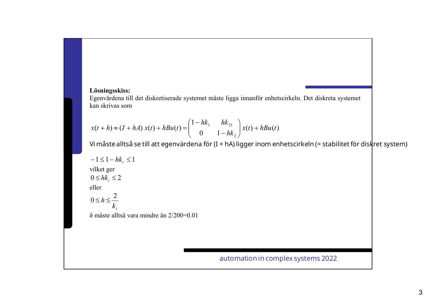## **Lösningsskiss:**

Egenvärdena till det diskretiserade systemet måste ligga innanför enhetscirkeln. Det diskreta systemet kan skrivas som

$$
x(t+h) \approx (I + hA) x(t) + hBu(t) = \begin{pmatrix} 1 - hk_1 & hk_{21} \\ 0 & 1 - hk_2 \end{pmatrix} x(t) + hBu(t)
$$

Vi måste alltså se till att egenvärdena för (I <sup>+</sup> hA) ligger inom enhetscirkeln (= stabilitetför diskret system)

$$
-1 \le 1 - hk_i \le 1
$$
  
tilket ger  

$$
0 \le hk_i \le 2
$$
  
eller  

$$
0 \le h \le \frac{2}{k_i}
$$

*h* måste alltså vara mindre än 2/200=0.01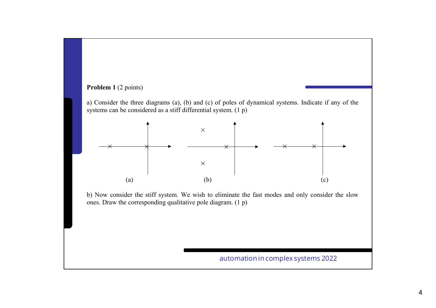## Problem 1 (2 points)

a) Consider the three diagrams (a), (b) and (c) of poles of dynamical systems. Indicate if any of the systems can be considered as a stiff differential system. (1 p)



b) Now consider the stiff system. We wish to eliminate the fast modes and only consider the slow ones. Draw the corresponding qualitative pole diagram. (1 p)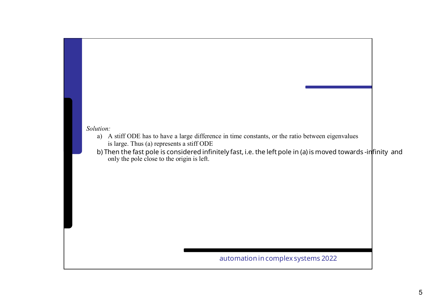#### *Solution:*

- a) A stiff ODE has to have a large difference in time constants, or the ratio between eigenvalues is large. Thus (a) represents a stiff ODE
- only the pole close to the origin is left. b) Then the fast pole is considered infinitely fast, i.e. the left pole in (a) is moved towards -infinity and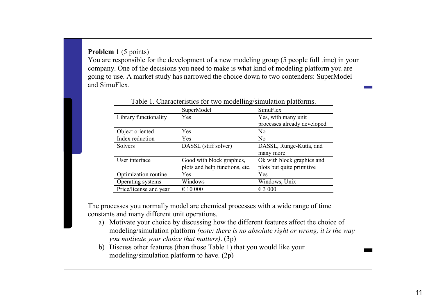**Problem 1** (5 points)

You are responsible for the development of a new modeling group (5 people full time) in your company. One of the decisions you need to make is what kind of modeling platform you are going to use. A market study has narrowed the choice down to two contenders: SuperModel and SimuFlex.

|                        | SuperModel                     | SimuFlex                    |
|------------------------|--------------------------------|-----------------------------|
| Library functionality  | Yes                            | Yes, with many unit         |
|                        |                                | processes already developed |
| Object oriented        | Yes                            | No                          |
| Index reduction        | Yes                            | No                          |
| Solvers                | DASSL (stiff solver)           | DASSL, Runge-Kutta, and     |
|                        |                                | many more                   |
| User interface         | Good with block graphics,      | Ok with block graphics and  |
|                        | plots and help functions, etc. | plots but quite primitive   |
| Optimization routine   | Yes                            | Yes                         |
| Operating systems      | Windows                        | Windows, Unix               |
| Price/license and year | $\epsilon$ 10 000              | $\epsilon$ 3 000            |

The processes you normally model are chemical processes with a wide range of time constants and many different unit operations.

- a) Motivate your choice by discussing how the different features affect the choice of modeling/simulation platform *(note: there is no absolute right or wrong, it is the way you motivate your choice that matters)*. (3p)
- $(2p)$ b) Discuss other features (than those Table 1) that you would like your modeling/simulation platform to have. (2p)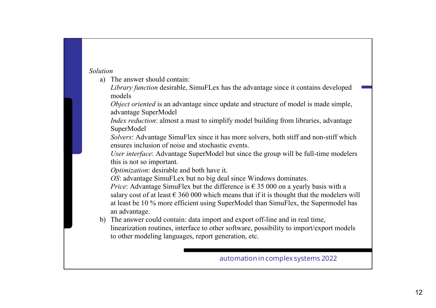#### *Solution*

a) The answer should contain:

*Library function* desirable, SimuFLex has the advantage since it contains developed models

*Object oriented* is an advantage since update and structure of model is made simple, advantage SuperModel

*Index reduction*: almost a must to simplify model building from libraries, advantage SuperModel

*Solvers*: Advantage SimuFlex since it has more solvers, both stiff and non-stiff which ensures inclusion of noise and stochastic events.

*User interface*: Advantage SuperModel but since the group will be full-time modelers this is not so important.

*Optimization*: desirable and both have it.

*OS*: advantage SimuFLex but no big deal since Windows dominates.

*Price*: Advantage SimuFlex but the difference is  $\epsilon$  35 000 on a vearly basis with a salary cost of at least  $\epsilon$  360 000 which means that if it is thought that the modelers will at least be 10 % more efficient using SuperModel than SimuFlex, the Supermodel has an advantage.

b) The answer could contain: data import and export off-line and in real time, linearization routines, interface to other software, possibility to import/export models to other modeling languages, report generation, etc.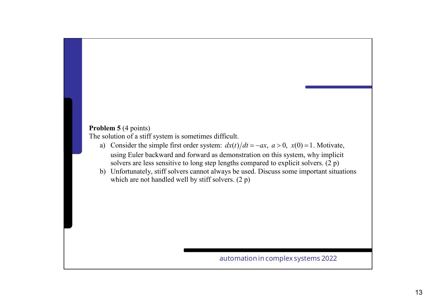### **Problem 5** (4 points)

The solution of a stiff system is sometimes difficult.

- a) Consider the simple first order system:  $dx(t)/dt = -ax$ ,  $a > 0$ ,  $x(0) = 1$ . Motivate, using Euler backward and forward as demonstration on this system, why implicit solvers are less sensitive to long step lengths compared to explicit solvers. (2 p)
- b) Unfortunately, stiff solvers cannot always be used. Discuss some important situations which are not handled well by stiff solvers. (2 p)